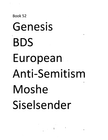#### $\frac{1}{2} \left( \frac{1}{2} \right) \left( \frac{1}{2} \right) \left( \frac{1}{2} \right) \left( \frac{1}{2} \right) \left( \frac{1}{2} \right) \left( \frac{1}{2} \right) \left( \frac{1}{2} \right)$

## Book 52 Genesis ", BDS **European** Anti-Sem itism • Moshe Siselsender

, .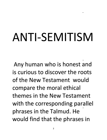# **ANTI-SEMITISM**

•

Any human who is honest and **is curious to discover the roots of the** New **Testament would**  compare the moral ethical **themes in the** New **Testament**  with the corresponding parallel • phrases in the Talmud. He would find that the phrases in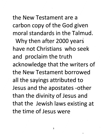**the New Testament are a**  carbon copy of the God given **moral standards in the Talmud.** 

Why then after 2000 years **have not Christians who seek**  and proclaim the truth acknowledge that the writers of **the New Testament borrowed**  all the sayings attributed to Jesus and the apostates -other than the divinity of Jesus and that the Jewish laws existing at **the time of Jesus were**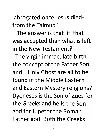abrogated once Jesus died**from the Talmud?** 

**The answer is that if that**  was accepted than what is left **in the** New **Testament?** 

The virgin immaculate birth the concept of the Father Son and Holy Ghost are all to be **found in the Middle Eastern**  and Eastern Mystery religions? Dyoneses is the Son of Zues for **the Greeks and he is the Son**  god for Jupetor the Roman· Father god. Both the Greeks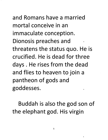**and Romans have a married mortal conceive in an**  immaculate conception. Dionosis preaches and threatens the status quo. He is **crucified. He is dead for three**  days. He rises from the dead and flies to heaven to join a pantheon of gods and goddesses.

Buddah is also the god son of the elephant god. His virgin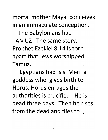mortal mother Maya conceives **in an immaculate conception.** 

The Babylonians had TAMUZ . The same story. Prophet Ezekiel 8:14 is torn apart that Jews worshipped **Tamuz.** 

Egyptians had Isis Meri a goddess who gives birth to Horus. Horus enrages the **a uthorities is crucified. He is**  dead three days. Then he rises **from the dead and flies to**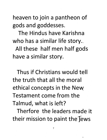heaven to join a pantheon of gods and goddesses.

**The Hindus have Karishna**  who has a similar life story..

All these half men half gods have a similar story.

**Thus if Christians would tell the truth that all the moral**  ethical concepts in the New **Testament come from the Talmud, what is left?** 

**Therfore the leaders made it**  their mission to paint the'fews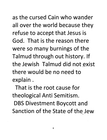**as the cursed Cain who wander**  all over the world because they refuse to accept that Jesus is **God. That is the reason there**  were so many burnings of the Talmud through out history. If **the Jewish Talmud did not exist**  • **there would be no need to**  explain.

**That is the root cause for**  theological Anti Semitism. **DBS Divestment Boycott and**  Sanction of the State of the Jew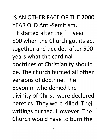#### IS AN OTHER FACE OF THE 2000 YEAR OLD Anti-Semitism.

It started after the year 500 when the Church got its act • together and decided after 500 years what the cardinal doctrines of Christianity should be. The church burned all other versions of doctrine. The Ebyonim who denied the divinity of Christ were declered heretics. They were killed. Their writings burned. However, The Church would have to burn the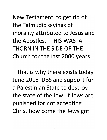New Testament to get rid of the Talmudic sayings of morality attributed to Jesus and the Apostles. THIS WAS A THORN IN THE SIDE OF THE Church for the last 2000 years.

That is why there exists today June 2015 DBS and support for a Palestinian State to destroy the state of the Jew. If Jews are punished for not accepting Christ how come the Jews got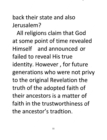#### **back their state and also Jerusalem?**

All religions claim that God at some point of time revealed **Himself** and announced or **failed to reveal His true**  identity. However, for future generations who were not privy to the original Revelation the truth of the adopted faith of **their ancestors is a matter of faith in the trustworthiness of the ancestor's tradtion.**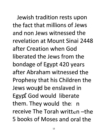**Jewish tradition rests upon the fact that millions of Jews and non Jews witnessed the revelation at Mount Sinai** 2448 **after Creation when God liberated the Jews from the**  bondage of Egypt 420 years **after Abraham witnessed the**  Prophesy that his Children the **Jews would be enslaved in**  Egypt God would liberate them. They would the  $n$ **receive The Torah** written' **-the 5 books of Moses and oral the**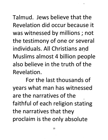**Talmud. Jews believe that the Revelation did occur because it**  was witnessed by millions; not the testimony of one or several **individuals. All Christians and**  • Muslims almost 4 billion people **also believe in the truth of the Revelation.** 

**For the last thousands of**  years what man has witnessed **are the narratives of the**  • faithful of each religion stating the narratives that they proclaim is the only absolute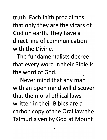truth. Each faith proclaimes that only they are the vicars of God on earth. They have a **direct line of communication with the Divine.** 

**The fundamentalists decree**  that every word in their Bible is **the word of God.** 

Never mind that any man with an open mind will discover **that the moral** ethical laws **written in their Bibles are a**  carbon copy of the Oral law the Talmud given by God at Mount •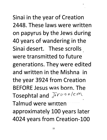Sinai in the year of Creation **2448. These laws were written**  on papyrus by the Jews during 40 years of wandering in the **Sinai desert. These scrolls**  • **were transmitted to future**  generations. They were edited **and written in the Mishna in**  the year 3924 from Creation **BEFORE Jesus was born. The**  Tosephtal and *Jerusalem* • **Talmud were** wrltten---- ---- approximately 100 years later 4024 years from Creation-100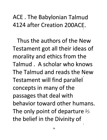ACE. The Babylonian Talmud 4124 after Creation 200ACE. •

Thus the authors of the New Testament got all their ideas of morality and ethics from the Talmud. A scholar who knows The Talmud and reads the New • Testament will find parallel concepts in many of the passages that deal with behavior toward other humans. The only point of departure  $i$ the belief in the Divinity of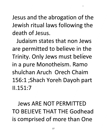Jesus and the abrogation of the Jewish ritual laws following the **death of Jesus.** 

•

**Judaism states that non Jews**  are permitted to believe in the • Trinity. Only Jews must believe in a pure Monotheism. Ramo **shulchan Aruch Orech Chaim**  156:1 ;Shach Yoreh Dayoh part **11.151:7 .** 

**Jews ARE** NOT **PERMITTED**  TO **BELIEVE** THAT **THE Godhead**  is comprised of more than One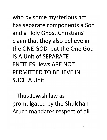who by some mysterious act has separate components a Son and a Holy Ghost.Christians claim that they also believe in the ONE GOD but the One God IS A Unit of SEPARATE ENTITIES. Jews ARE NOT PERMITTED TO BELIEVE IN **SUCH A Unit.** 

Thus Jewish law as promulgated by the Shulchan Aruch mandates respect of all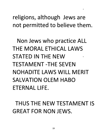religions, although Jews are not permitted to believe them.

•

Non Jews who practice ALL THE MORAL ETHICAL LAWS STATED IN THE NEW TESTAMENT -THE SEVEN NOHADITE LAWS WILL MERIT SALVATION OLEM HABO ETERNAL **LIFE.** 

THUS THE NEW TESTAMENT **IS**  GREAT FOR NON JEWS.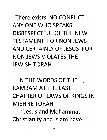There exists NO CONFLICT. ANY ONE WHO SPEAKS DISRESPECTFUL OF THE NEW TESTAMENT FOR NON JEWS AND CERTAINLY OF JESUS FOR NON JEWS VIOLATES THE JEWISH TORAH.

IN THE WORDS OF THE RAMBAM AT THE LAST CHAPTER OF LAWS OF KINGS IN MISHNE TORAH

"Jesus and Mohammad -Christianity and Islam have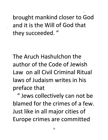brought mankind closer to God **and it is the Will of God that**  they succeeded."

•

**The Aruch Hashulchon the**  • **author of the Code of Jewish Law on all Civil Criminal Ritual laws of Judaism writes in his**  preface that

" Jews collectively can not be **blamed for the crimes of a few.**  • Just like in all major cities of **Europe crimes are committed**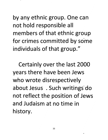by any ethnic group. One can not hold responsible all members of that ethnic group for crimes committed by some individuals of that group."

Certainly over the last 2000 years there have been Jews who wrote disrespectively about Jesus . Such writings· do not reflect the position of Jews **and Judaism at no time in**  history.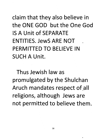claim that they also believe in the ONE GOD but the One God IS A Unit of SEPARATE ENTITIES. JewS ARE NOT PERMITTED TO BELIEVE IN SUCH A Unit.

Thus Jewish law as promulgated by the Shulchan Aruch mandates respect of.all religions, although Jews are not permitted to believe them.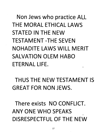Non Jews who practice All THE MORAL ETHICAL LAWS STATED IN THE NEW TESTAMENT -THE SEVEN NOHADITE LAWS WILL MERIT SALVATION OLEM HABO ETERNAL LIFE. •

THUS THE NEW TESTAMENT IS GREAT FOR NON JEWS.

There exists NO CONFLICT. ANY ONE WHO SPEAKS • DISRESPECTFUL OF THE NEW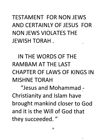#### TESTAMENT FOR NON JEWS AND CERTAINLY OF JESUS FOR NON JEWS VIOLATES THE JEWISH TORAH. •

IN THE WORDS OF THE RAMBAM AT THE LAST CHAPTER OF LAWS OF KINGS IN MISHNE TORAH

"Jesus and Mohammad -Christianity and Islam have brought mankind closer to God and it is the Will of God that they succeeded."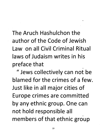**The Aruch Hashulchon the author of the Code of Jewish Law on all Civil Criminal Ritual laws of Judaism writes in his**  preface that •

•

" Jews collectively can not be **blamed for the crimes of a few.**  Just like in all major cities of Europe crimes are committed by any ethnic group. One can **not hold responsible all**  members of that ethnic group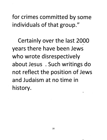for crimes committed by some individuals of that group."

Certainly over the last 2000 • years there have been Jews who wrote disrespectively about Jesus . Such writings do not reflect the position of Jews **and Judaism at no time in**  history. •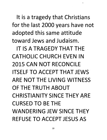It is a tragedy that Christians for the last 2000 years have not adopted this same attitude toward Jews and Judaism.

IT IS A TRAGEDY THAT THE CATHOLIC CHURCH EVEN IN 2015 CAN NOT RECONCILE ITSELF TO ACCEPT THAT JEWS ARE NOT THE LIVING WITNESS OF THE TRUTH ABOUT CHRISTIANITY SINCE THEY ARE CURSED TO BE THE WANDERING JEW SINCE THEY REFUSE TO ACCEPT JESUS AS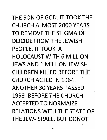THE SON OF GOD. IT TOOK THE CHURCH ALMOST 2000 YEARS • TO REMOVE THE STIGMA OF DEICIDE FROM THE JEWISH PEOPLE. IT TOOK A HOLOCAUST WITH 6 MILLION JEWS AND 1 MILLION JEWISH CHILDREN KILLED BEFORE THE • CHURCH ACTED IN 1964. ANOTHER 30 YEARS PASSED 1993 BEFORE THE CHURCH ACCEPTED TO NORMAIZE RELATIONS WITH THE STATE OF THE JEW-ISRAEL. BUT DONOT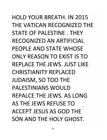HOLD YOUR BREATH. IN 2015 THE VATICAN RECOGNIZED THE STATE OF PALESTINE. THEY RECOGNIZED AN ARTIFICIAL PEOPLE AND STATE WHOSE ONLY REASON TO EXIST IS TO REPLACE THE JEWS. JUST LIKE CHRISTIANITY REPLACED JUDAISM, SO TOO THE PALESTINIANS WOULD REPALCE THE JEWS. AS LONG AS THE JEWS REFUSE TO ACCEPT JESUS AS GOD THE SON AND THE HOLY GHOST.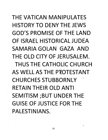THE VATICAN MANIPULATES HISTORY TO DENY THE JEWS GOD'S PROMISE OF THE LAND OF ISRAEL HISTORICAL JUDEA SAMARIA GOLAN GAZA AND THE OLD CITY OF JERUSALEM. THUS THE CATHOLIC CHURCH AS WELL AS THE PROTESTANT **CHURCHES STUBBORNLY** RETAIN THEIR OLD ANTI SEMITISM ;BUT UNDER THE GUISE OF JUSTICE FOR THE PALESTINIANS.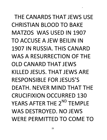THE CANARDS THAT JEWS USE CHRISTIAN BLOOD TO BAKE MATZOS WAS USED IN 1907 TO ACCUSE A JEW BEILIN IN 1907 IN RUSSIA. THIS CANARD WAS A RESURRECTION OF THE OLD CANARD THAT JEWS KILLED JESUS. THAT JEWS ARE RESPONSIBLE FOR JESUS'S DEATH. NEVER MIND THAT THE CRUCIFIXION OCCURRED 130 YEARS AFTER THE 2<sup>ND</sup> TFMPLF WAS DESTROYED. NO JEWS WERE PERMITTED TO COME TO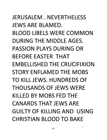JERUSALEM. NEVERTHELESS JEWS ARE BLAMED. BLOOD LIBELS WERE COMMON DURING THE MIDDLE AGES. PASSION PLAYS DURING OR BEFORE EASTER THAT EMBELLISHED THE CRUCIFIXION STORY ENFLAMED THE MOBS TO KILL JEWS. HUNDREDS OF THOUSANDS OF JEWS WERE KILLED BY MOBS FED THE CANARDS THAT JEWS ARE GUILTY OF KILLING AND USING CHRISTIAN BLOOD TO BAKE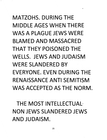### MATZOHS. DURING THE MIDDLE AGES WHEN THERE WAS A PLAGUE JEWS WERE BLAMED AND MASSACRED THAT THEY POISONED THE WELLS. JEWS AND JUDAISM WERE SLANDERED BY EVERYONE. EVEN DURING THE RENAISSANCE ANTI SEMITISM WAS ACCEPTED AS THE NORM.

•

THE MOST INTELLECTUAL· NON JEWS SLANDERED JEWS AND JUDAISM.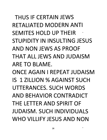THUS IF CERTAIN JEWS RETALIATED MODERN ANTI SEMITES HOLD UP THEIR STUPIDITY IN INSULTING JESUS AND NON JEWS AS PROOF THAT ALL JEWS AND JUDAISM ARE TO BLAME.

ONCE AGAIN I REPEAT JUDAISM IS 1 ZILLION % AGAINST SU·CH UTTERANCES. SUCH WORDS AND BEHAVIOR CONTRADICT THE LETTER AND SPIRIT OF JUDAISM. SUCH INDIVIDUALS WHO VILLIFY JESUS AND NON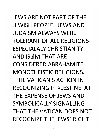JEWS ARE NOT PART OF THE JEWISH PEOPLE. JEWS AND JUDAISM ALWAYS WERE TOLERANT OF ALL RELIGIONS-ESPECIALALY CHRISTIANITY AND ISLAM THAT ARE CONSIDERED ABRAHAMITE MONOTHEISTIC RELIGIONS. THE VATICAN'S ACTION IN RECOGNIZING P ALESTINE AT THE EXPENSE OF JEWS AND SYMBOLICALLY SIGNALLING THAT THE VATICAN DOES NOT RECOGNIZE THE JEWS' RIGHT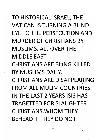TO HISTORICAL ISRAEL, THE VATICAN IS TURNING A BLIND EYE TO THE PERSECUTION AND MURDER OF CHRISTIANS BY MUSLIMS. ALL OVER THE **MIDDLE EAST** CHRISTIANS ARE BEING KILLED BY MUSLIMS DAILY. **CHRISTIANS ARE DISAPPEARING** • FROM ALL MULIM COUNTRIES. IN THE LAST 2 YEARS ISIS HAS TRAGETTED FOR SLAUGHTER CHRISTIANS,WHOM THEY BEHEAD IF THEY DO NOT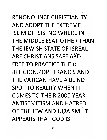RENONOUNCE CHRISTIANITY AND ADOPT THE EXTREME ISLIM OF ISIS. NO WHERE IN THE MIDDLE ESAT OTHER THAN THE JEWISH STATE OF ISREAL ARE CHRISTIANS SAFE A<sup>N</sup>D • FREE TO PRACTICE THEIR RELIGION.POPE FRANCIS AND THE VATICAN HAVE A BLIND SPOT TO REALITY WHEN IT COMES TO THEIR 2000 YEAR ANTISEMITISM AND HATRED • OF THE JEW AND JUPAISM. IT APPEARS THAT GOD IS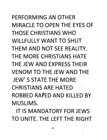PERFORMING AN OTHER MIRACLE TO OPEN THE EYES OF THOSE CHRISTIANS WHO WILLFULLY WANT TO SHUT THEM AND NOT SEE REALITY. THE MORE CHRISTIANS HATE THE JEW AND EXPRESS THEIR VENOM TO THE JEW AND THE JEW'S STATE THE MORE **CHRISTIANS ARE HATED** ROBBED RAfED AND KILLED BY **MUSLIMS.** 

IT IS MANDATORY FOR JEWS TO UNITE. THE LEFT THE RIGHT

-